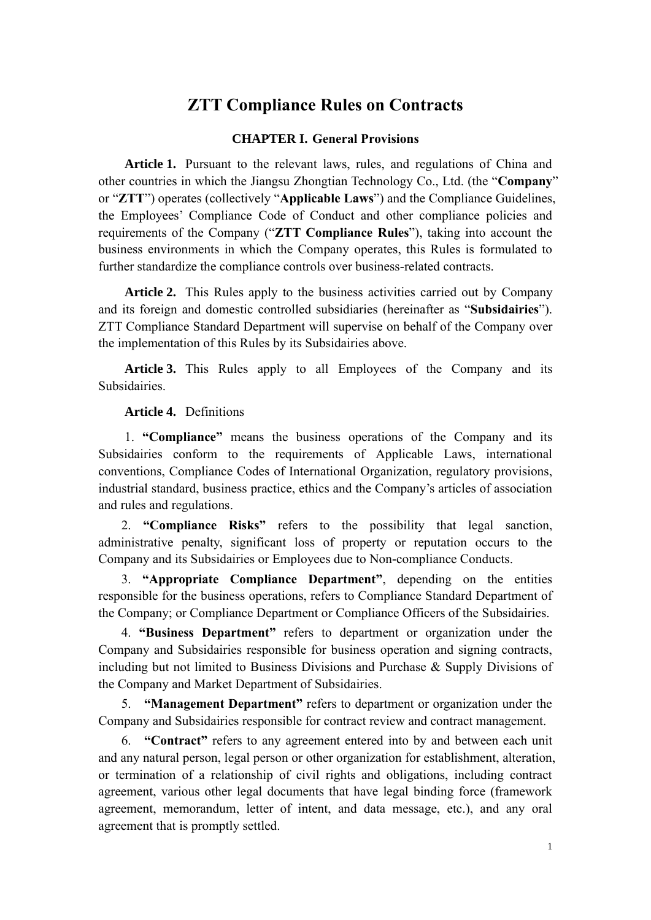## **ZTT Compliance Rules on Contracts**

## **CHAPTER I. General Provisions**

**Article 1.** Pursuant to the relevant laws, rules, and regulations of China and other countries in which the Jiangsu Zhongtian Technology Co., Ltd. (the "**Company**" or "**ZTT**") operates (collectively "**Applicable Laws**") and the Compliance Guidelines, the Employees' Compliance Code of Conduct and other compliance policies and requirements of the Company ("**ZTT Compliance Rules**"), taking into account the business environments in which the Company operates, this Rules is formulated to further standardize the compliance controls over business-related contracts.

**Article 2.** This Rules apply to the business activities carried out by Company and its foreign and domestic controlled subsidiaries (hereinafter as "**Subsidairies**"). ZTT Compliance Standard Department will supervise on behalf of the Company over the implementation of this Rules by its Subsidairies above.

**Article 3.** This Rules apply to all Employees of the Company and its Subsidairies.

**Article 4.** Definitions

 1. **"Compliance"** means the business operations of the Company and its Subsidairies conform to the requirements of Applicable Laws, international conventions, Compliance Codes of International Organization, regulatory provisions, industrial standard, business practice, ethics and the Company's articles of association and rules and regulations.

2. **"Compliance Risks"** refers to the possibility that legal sanction, administrative penalty, significant loss of property or reputation occurs to the Company and its Subsidairies or Employees due to Non-compliance Conducts.

3. **"Appropriate Compliance Department"**, depending on the entities responsible for the business operations, refers to Compliance Standard Department of the Company; or Compliance Department or Compliance Officers of the Subsidairies.

4. **"Business Department"** refers to department or organization under the Company and Subsidairies responsible for business operation and signing contracts, including but not limited to Business Divisions and Purchase & Supply Divisions of the Company and Market Department of Subsidairies.

5. **"Management Department"** refers to department or organization under the Company and Subsidairies responsible for contract review and contract management.

6. **"Contract"** refers to any agreement entered into by and between each unit and any natural person, legal person or other organization for establishment, alteration, or termination of a relationship of civil rights and obligations, including contract agreement, various other legal documents that have legal binding force (framework agreement, memorandum, letter of intent, and data message, etc.), and any oral agreement that is promptly settled.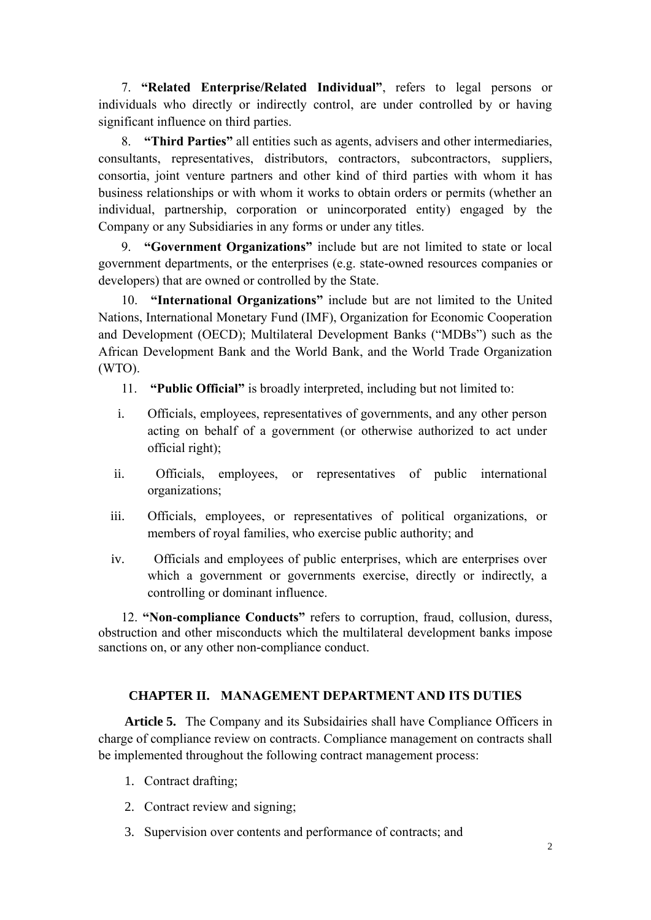7. **"Related Enterprise/Related Individual"**, refers to legal persons or individuals who directly or indirectly control, are under controlled by or having significant influence on third parties.

8. **"Third Parties"** all entities such as agents, advisers and other intermediaries, consultants, representatives, distributors, contractors, subcontractors, suppliers, consortia, joint venture partners and other kind of third parties with whom it has business relationships or with whom it works to obtain orders or permits (whether an individual, partnership, corporation or unincorporated entity) engaged by the Company or any Subsidiaries in any forms or under any titles.

9. **"Government Organizations"** include but are not limited to state or local government departments, or the enterprises (e.g. state-owned resources companies or developers) that are owned or controlled by the State.

10. **"International Organizations"** include but are not limited to the United Nations, International Monetary Fund (IMF), Organization for Economic Cooperation and Development (OECD); Multilateral Development Banks ("MDBs") such as the African Development Bank and the World Bank, and the World Trade Organization (WTO).

- 11. **"Public Official"** is broadly interpreted, including but not limited to:
- i. Officials, employees, representatives of governments, and any other person acting on behalf of a government (or otherwise authorized to act under official right);
- ii. Officials, employees, or representatives of public international organizations;
- iii. Officials, employees, or representatives of political organizations, or members of royal families, who exercise public authority; and
- iv. Officials and employees of public enterprises, which are enterprises over which a government or governments exercise, directly or indirectly, a controlling or dominant influence.

12. **"Non-compliance Conducts"** refers to corruption, fraud, collusion, duress, obstruction and other misconducts which the multilateral development banks impose sanctions on, or any other non-compliance conduct.

## **CHAPTER II. MANAGEMENT DEPARTMENT AND ITS DUTIES**

**Article 5.** The Company and its Subsidairies shall have Compliance Officers in charge of compliance review on contracts. Compliance management on contracts shall be implemented throughout the following contract management process:

- 1. Contract drafting;
- 2. Contract review and signing;
- 3. Supervision over contents and performance of contracts; and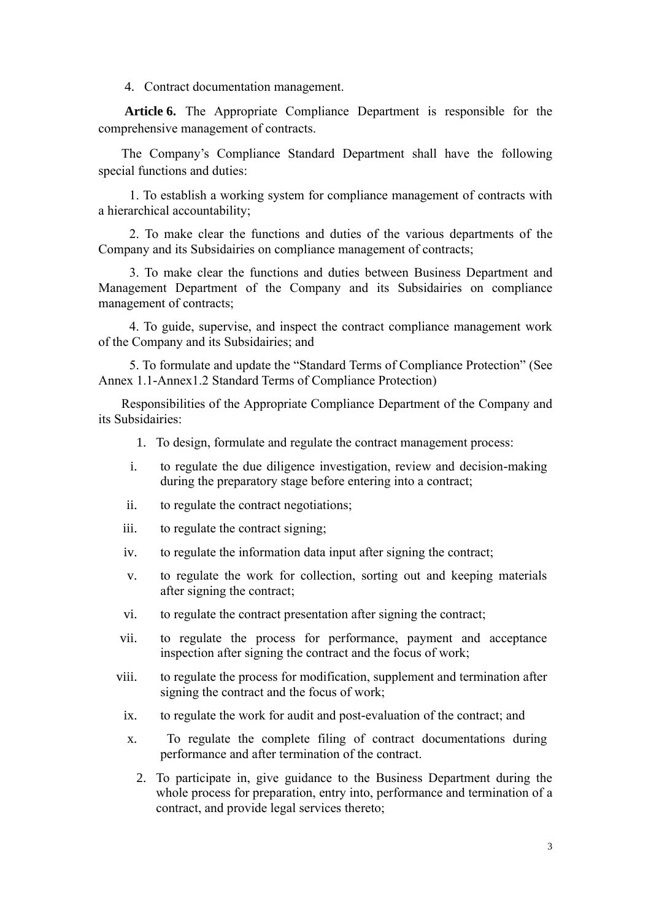4. Contract documentation management.

**Article 6.** The Appropriate Compliance Department is responsible for the comprehensive management of contracts.

The Company's Compliance Standard Department shall have the following special functions and duties:

1. To establish a working system for compliance management of contracts with a hierarchical accountability;

2. To make clear the functions and duties of the various departments of the Company and its Subsidairies on compliance management of contracts;

3. To make clear the functions and duties between Business Department and Management Department of the Company and its Subsidairies on compliance management of contracts;

4. To guide, supervise, and inspect the contract compliance management work of the Company and its Subsidairies; and

5. To formulate and update the "Standard Terms of Compliance Protection" (See Annex 1.1-Annex1.2 Standard Terms of Compliance Protection)

Responsibilities of the Appropriate Compliance Department of the Company and its Subsidairies:

- 1. To design, formulate and regulate the contract management process:
- i. to regulate the due diligence investigation, review and decision-making during the preparatory stage before entering into a contract;
- ii. to regulate the contract negotiations;
- iii. to regulate the contract signing;
- iv. to regulate the information data input after signing the contract;
- v. to regulate the work for collection, sorting out and keeping materials after signing the contract;
- vi. to regulate the contract presentation after signing the contract;
- vii. to regulate the process for performance, payment and acceptance inspection after signing the contract and the focus of work;
- viii. to regulate the process for modification, supplement and termination after signing the contract and the focus of work;
- ix. to regulate the work for audit and post-evaluation of the contract; and
- x. To regulate the complete filing of contract documentations during performance and after termination of the contract.
	- 2. To participate in, give guidance to the Business Department during the whole process for preparation, entry into, performance and termination of a contract, and provide legal services thereto;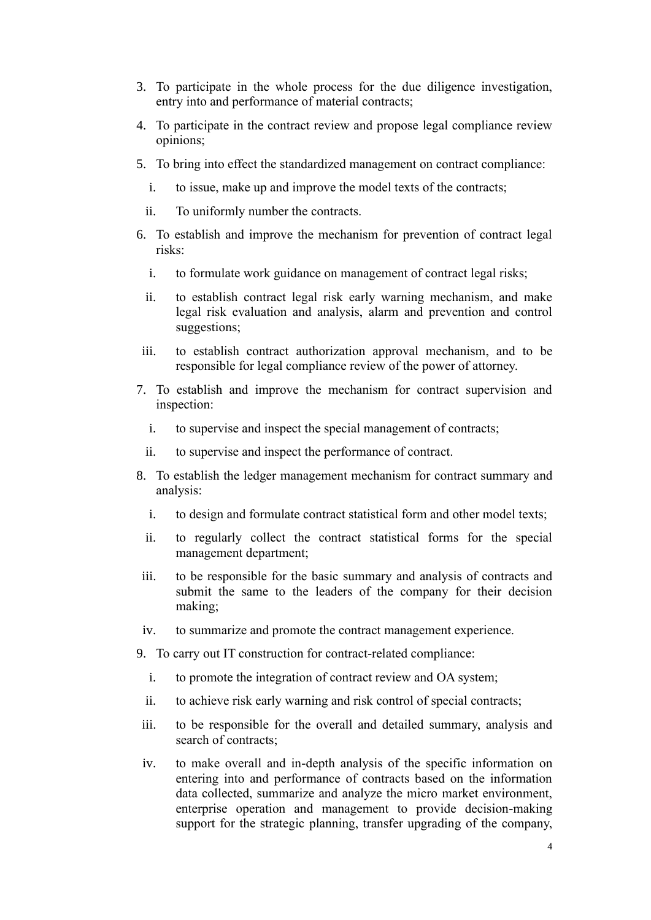- 3. To participate in the whole process for the due diligence investigation, entry into and performance of material contracts;
- 4. To participate in the contract review and propose legal compliance review opinions;
- 5. To bring into effect the standardized management on contract compliance:
	- i. to issue, make up and improve the model texts of the contracts;
	- ii. To uniformly number the contracts.
- 6. To establish and improve the mechanism for prevention of contract legal risks:
	- i. to formulate work guidance on management of contract legal risks;
	- ii. to establish contract legal risk early warning mechanism, and make legal risk evaluation and analysis, alarm and prevention and control suggestions;
- iii. to establish contract authorization approval mechanism, and to be responsible for legal compliance review of the power of attorney.
- 7. To establish and improve the mechanism for contract supervision and inspection:
	- i. to supervise and inspect the special management of contracts;
	- ii. to supervise and inspect the performance of contract.
- 8. To establish the ledger management mechanism for contract summary and analysis:
	- i. to design and formulate contract statistical form and other model texts;
	- ii. to regularly collect the contract statistical forms for the special management department;
- iii. to be responsible for the basic summary and analysis of contracts and submit the same to the leaders of the company for their decision making;
- iv. to summarize and promote the contract management experience.

9. To carry out IT construction for contract-related compliance:

- i. to promote the integration of contract review and OA system;
- ii. to achieve risk early warning and risk control of special contracts;
- iii. to be responsible for the overall and detailed summary, analysis and search of contracts;
- iv. to make overall and in-depth analysis of the specific information on entering into and performance of contracts based on the information data collected, summarize and analyze the micro market environment, enterprise operation and management to provide decision-making support for the strategic planning, transfer upgrading of the company,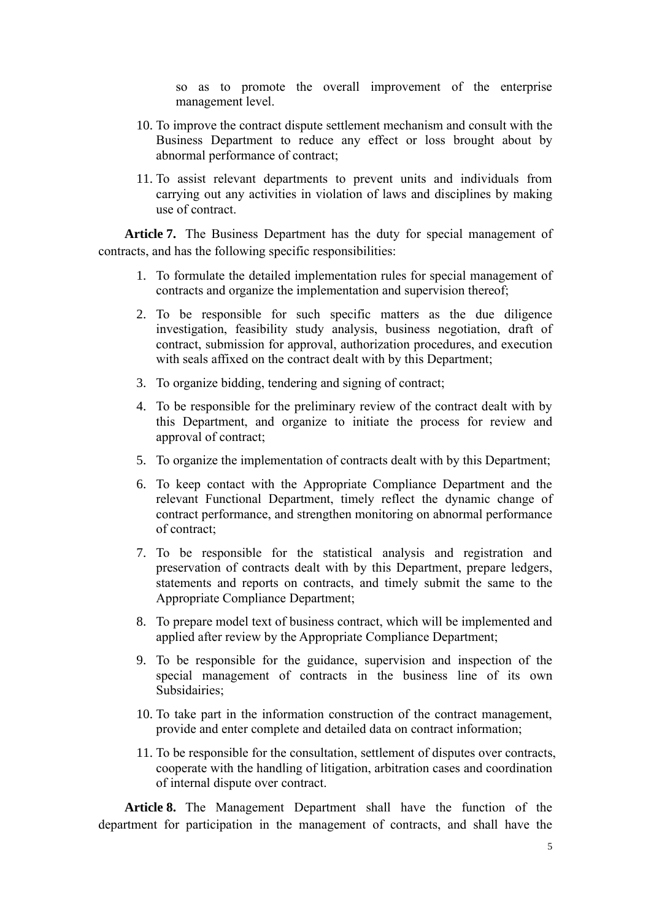so as to promote the overall improvement of the enterprise management level.

- 10. To improve the contract dispute settlement mechanism and consult with the Business Department to reduce any effect or loss brought about by abnormal performance of contract;
- 11. To assist relevant departments to prevent units and individuals from carrying out any activities in violation of laws and disciplines by making use of contract.

**Article 7.** The Business Department has the duty for special management of contracts, and has the following specific responsibilities:

- 1. To formulate the detailed implementation rules for special management of contracts and organize the implementation and supervision thereof;
- 2. To be responsible for such specific matters as the due diligence investigation, feasibility study analysis, business negotiation, draft of contract, submission for approval, authorization procedures, and execution with seals affixed on the contract dealt with by this Department;
- 3. To organize bidding, tendering and signing of contract;
- 4. To be responsible for the preliminary review of the contract dealt with by this Department, and organize to initiate the process for review and approval of contract;
- 5. To organize the implementation of contracts dealt with by this Department;
- 6. To keep contact with the Appropriate Compliance Department and the relevant Functional Department, timely reflect the dynamic change of contract performance, and strengthen monitoring on abnormal performance of contract;
- 7. To be responsible for the statistical analysis and registration and preservation of contracts dealt with by this Department, prepare ledgers, statements and reports on contracts, and timely submit the same to the Appropriate Compliance Department;
- 8. To prepare model text of business contract, which will be implemented and applied after review by the Appropriate Compliance Department;
- 9. To be responsible for the guidance, supervision and inspection of the special management of contracts in the business line of its own Subsidairies;
- 10. To take part in the information construction of the contract management, provide and enter complete and detailed data on contract information;
- 11. To be responsible for the consultation, settlement of disputes over contracts, cooperate with the handling of litigation, arbitration cases and coordination of internal dispute over contract.

**Article 8.** The Management Department shall have the function of the department for participation in the management of contracts, and shall have the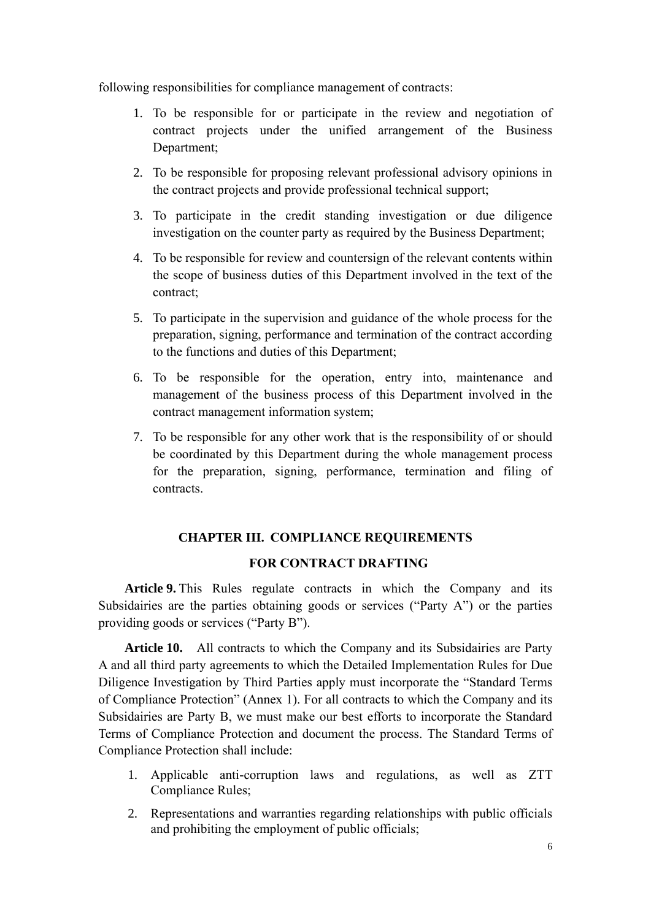following responsibilities for compliance management of contracts:

- 1. To be responsible for or participate in the review and negotiation of contract projects under the unified arrangement of the Business Department;
- 2. To be responsible for proposing relevant professional advisory opinions in the contract projects and provide professional technical support;
- 3. To participate in the credit standing investigation or due diligence investigation on the counter party as required by the Business Department;
- 4. To be responsible for review and countersign of the relevant contents within the scope of business duties of this Department involved in the text of the contract;
- 5. To participate in the supervision and guidance of the whole process for the preparation, signing, performance and termination of the contract according to the functions and duties of this Department;
- 6. To be responsible for the operation, entry into, maintenance and management of the business process of this Department involved in the contract management information system;
- 7. To be responsible for any other work that is the responsibility of or should be coordinated by this Department during the whole management process for the preparation, signing, performance, termination and filing of contracts.

## **CHAPTER III. COMPLIANCE REQUIREMENTS**

## **FOR CONTRACT DRAFTING**

**Article 9.** This Rules regulate contracts in which the Company and its Subsidairies are the parties obtaining goods or services ("Party A") or the parties providing goods or services ("Party B").

**Article 10.** All contracts to which the Company and its Subsidairies are Party A and all third party agreements to which the Detailed Implementation Rules for Due Diligence Investigation by Third Parties apply must incorporate the "Standard Terms of Compliance Protection" (Annex 1). For all contracts to which the Company and its Subsidairies are Party B, we must make our best efforts to incorporate the Standard Terms of Compliance Protection and document the process. The Standard Terms of Compliance Protection shall include:

- 1. Applicable anti-corruption laws and regulations, as well as ZTT Compliance Rules;
- 2. Representations and warranties regarding relationships with public officials and prohibiting the employment of public officials;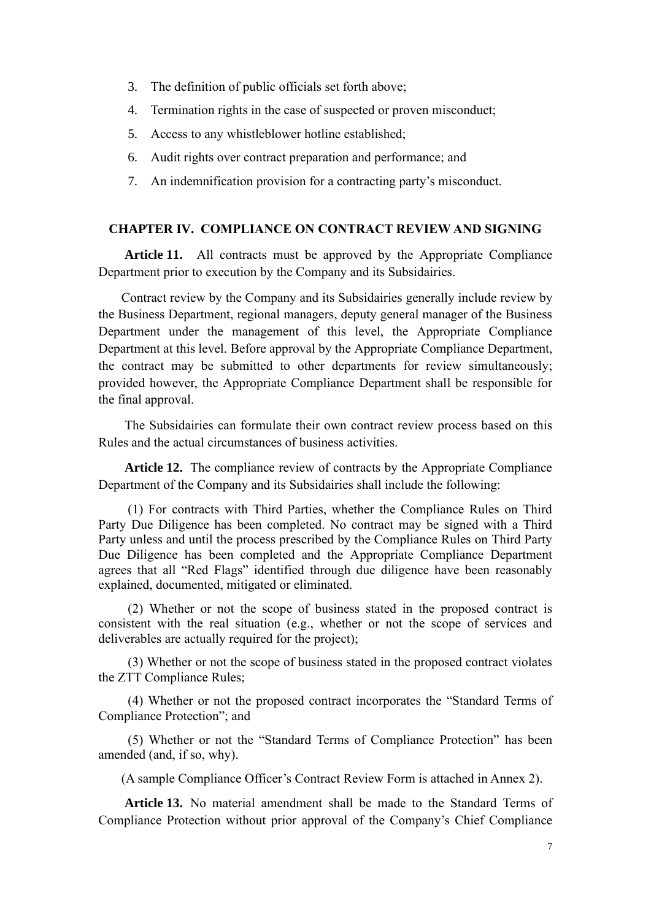- 3. The definition of public officials set forth above;
- 4. Termination rights in the case of suspected or proven misconduct;
- 5. Access to any whistleblower hotline established;
- 6. Audit rights over contract preparation and performance; and
- 7. An indemnification provision for a contracting party's misconduct.

## **CHAPTER IV. COMPLIANCE ON CONTRACT REVIEW AND SIGNING**

**Article 11.** All contracts must be approved by the Appropriate Compliance Department prior to execution by the Company and its Subsidairies.

Contract review by the Company and its Subsidairies generally include review by the Business Department, regional managers, deputy general manager of the Business Department under the management of this level, the Appropriate Compliance Department at this level. Before approval by the Appropriate Compliance Department, the contract may be submitted to other departments for review simultaneously; provided however, the Appropriate Compliance Department shall be responsible for the final approval.

 The Subsidairies can formulate their own contract review process based on this Rules and the actual circumstances of business activities.

**Article 12.** The compliance review of contracts by the Appropriate Compliance Department of the Company and its Subsidairies shall include the following:

(1) For contracts with Third Parties, whether the Compliance Rules on Third Party Due Diligence has been completed. No contract may be signed with a Third Party unless and until the process prescribed by the Compliance Rules on Third Party Due Diligence has been completed and the Appropriate Compliance Department agrees that all "Red Flags" identified through due diligence have been reasonably explained, documented, mitigated or eliminated.

(2) Whether or not the scope of business stated in the proposed contract is consistent with the real situation (e.g., whether or not the scope of services and deliverables are actually required for the project);

(3) Whether or not the scope of business stated in the proposed contract violates the ZTT Compliance Rules;

(4) Whether or not the proposed contract incorporates the "Standard Terms of Compliance Protection"; and

(5) Whether or not the "Standard Terms of Compliance Protection" has been amended (and, if so, why).

(A sample Compliance Officer's Contract Review Form is attached in Annex 2).

**Article 13.** No material amendment shall be made to the Standard Terms of Compliance Protection without prior approval of the Company's Chief Compliance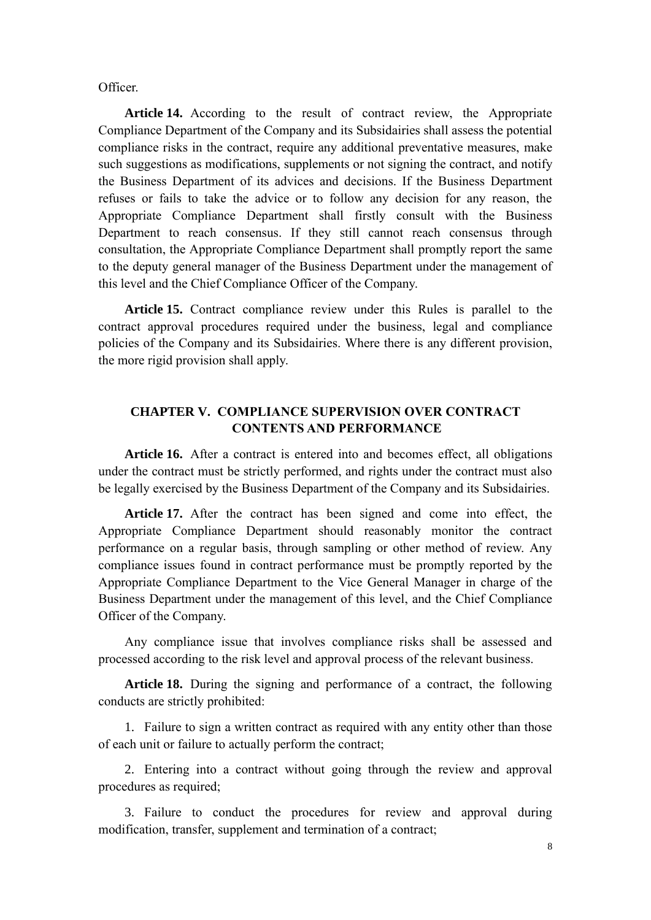Officer.

**Article 14.** According to the result of contract review, the Appropriate Compliance Department of the Company and its Subsidairies shall assess the potential compliance risks in the contract, require any additional preventative measures, make such suggestions as modifications, supplements or not signing the contract, and notify the Business Department of its advices and decisions. If the Business Department refuses or fails to take the advice or to follow any decision for any reason, the Appropriate Compliance Department shall firstly consult with the Business Department to reach consensus. If they still cannot reach consensus through consultation, the Appropriate Compliance Department shall promptly report the same to the deputy general manager of the Business Department under the management of this level and the Chief Compliance Officer of the Company.

**Article 15.** Contract compliance review under this Rules is parallel to the contract approval procedures required under the business, legal and compliance policies of the Company and its Subsidairies. Where there is any different provision, the more rigid provision shall apply.

## **CHAPTER V. COMPLIANCE SUPERVISION OVER CONTRACT CONTENTS AND PERFORMANCE**

**Article 16.** After a contract is entered into and becomes effect, all obligations under the contract must be strictly performed, and rights under the contract must also be legally exercised by the Business Department of the Company and its Subsidairies.

**Article 17.** After the contract has been signed and come into effect, the Appropriate Compliance Department should reasonably monitor the contract performance on a regular basis, through sampling or other method of review. Any compliance issues found in contract performance must be promptly reported by the Appropriate Compliance Department to the Vice General Manager in charge of the Business Department under the management of this level, and the Chief Compliance Officer of the Company.

Any compliance issue that involves compliance risks shall be assessed and processed according to the risk level and approval process of the relevant business.

**Article 18.** During the signing and performance of a contract, the following conducts are strictly prohibited:

1. Failure to sign a written contract as required with any entity other than those of each unit or failure to actually perform the contract;

2. Entering into a contract without going through the review and approval procedures as required;

3. Failure to conduct the procedures for review and approval during modification, transfer, supplement and termination of a contract;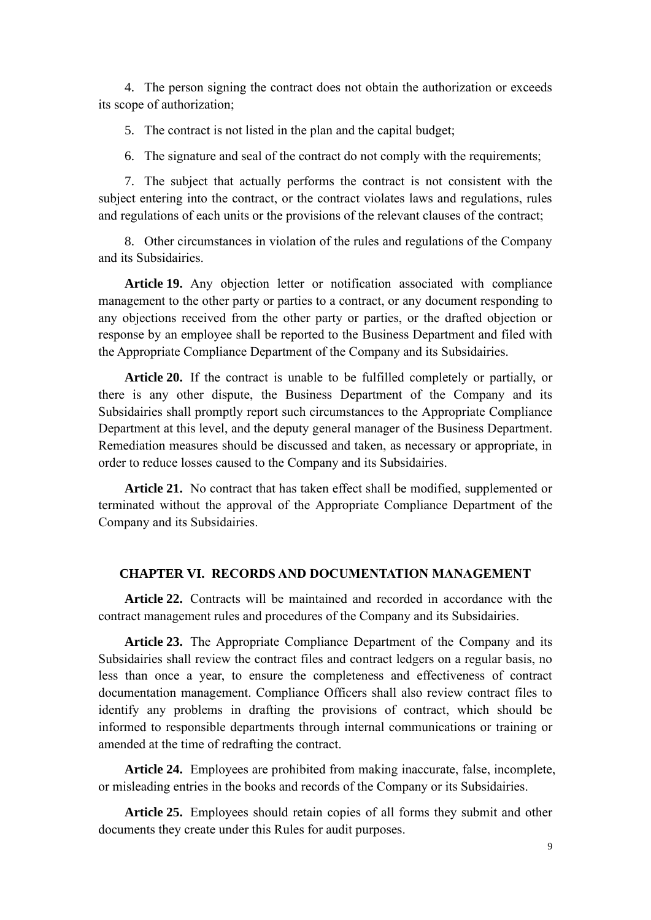4. The person signing the contract does not obtain the authorization or exceeds its scope of authorization;

5. The contract is not listed in the plan and the capital budget;

6. The signature and seal of the contract do not comply with the requirements;

7. The subject that actually performs the contract is not consistent with the subject entering into the contract, or the contract violates laws and regulations, rules and regulations of each units or the provisions of the relevant clauses of the contract;

8. Other circumstances in violation of the rules and regulations of the Company and its Subsidairies.

**Article 19.** Any objection letter or notification associated with compliance management to the other party or parties to a contract, or any document responding to any objections received from the other party or parties, or the drafted objection or response by an employee shall be reported to the Business Department and filed with the Appropriate Compliance Department of the Company and its Subsidairies.

**Article 20.** If the contract is unable to be fulfilled completely or partially, or there is any other dispute, the Business Department of the Company and its Subsidairies shall promptly report such circumstances to the Appropriate Compliance Department at this level, and the deputy general manager of the Business Department. Remediation measures should be discussed and taken, as necessary or appropriate, in order to reduce losses caused to the Company and its Subsidairies.

**Article 21.** No contract that has taken effect shall be modified, supplemented or terminated without the approval of the Appropriate Compliance Department of the Company and its Subsidairies.

#### **CHAPTER VI. RECORDS AND DOCUMENTATION MANAGEMENT**

**Article 22.** Contracts will be maintained and recorded in accordance with the contract management rules and procedures of the Company and its Subsidairies.

**Article 23.** The Appropriate Compliance Department of the Company and its Subsidairies shall review the contract files and contract ledgers on a regular basis, no less than once a year, to ensure the completeness and effectiveness of contract documentation management. Compliance Officers shall also review contract files to identify any problems in drafting the provisions of contract, which should be informed to responsible departments through internal communications or training or amended at the time of redrafting the contract.

**Article 24.** Employees are prohibited from making inaccurate, false, incomplete, or misleading entries in the books and records of the Company or its Subsidairies.

**Article 25.** Employees should retain copies of all forms they submit and other documents they create under this Rules for audit purposes.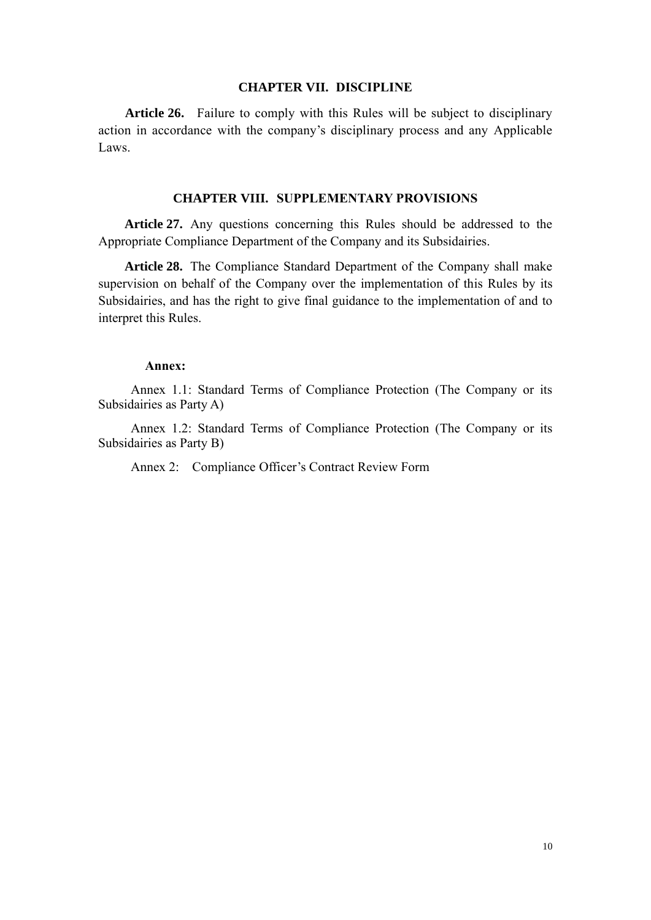#### **CHAPTER VII. DISCIPLINE**

**Article 26.** Failure to comply with this Rules will be subject to disciplinary action in accordance with the company's disciplinary process and any Applicable Laws.

#### **CHAPTER VIII. SUPPLEMENTARY PROVISIONS**

**Article 27.** Any questions concerning this Rules should be addressed to the Appropriate Compliance Department of the Company and its Subsidairies.

**Article 28.** The Compliance Standard Department of the Company shall make supervision on behalf of the Company over the implementation of this Rules by its Subsidairies, and has the right to give final guidance to the implementation of and to interpret this Rules.

#### **Annex:**

Annex 1.1: Standard Terms of Compliance Protection (The Company or its Subsidairies as Party A)

Annex 1.2: Standard Terms of Compliance Protection (The Company or its Subsidairies as Party B)

Annex 2: Compliance Officer's Contract Review Form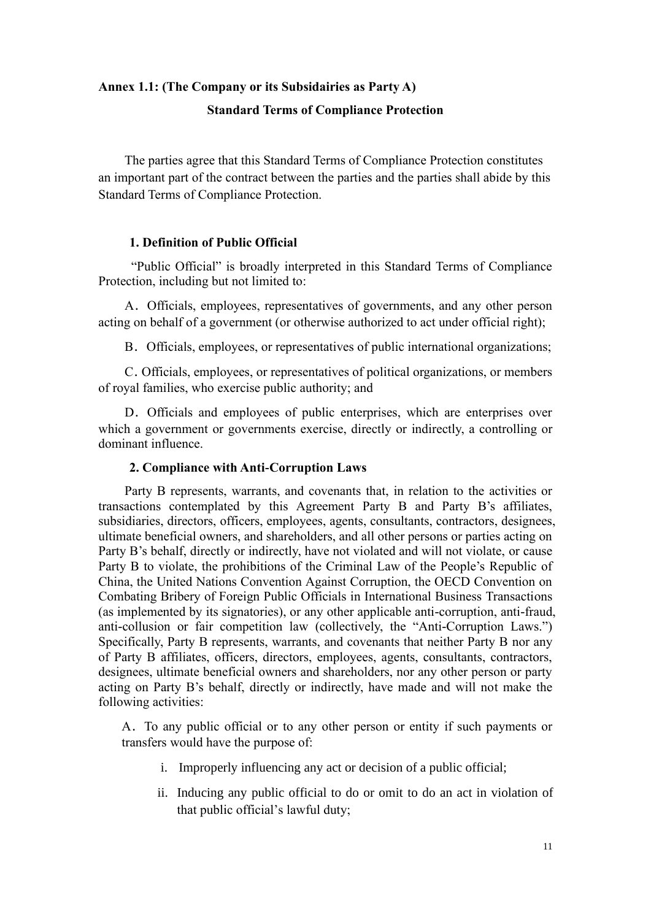## **Annex 1.1: (The Company or its Subsidairies as Party A) Standard Terms of Compliance Protection**

The parties agree that this Standard Terms of Compliance Protection constitutes an important part of the contract between the parties and the parties shall abide by this Standard Terms of Compliance Protection.

#### **1. Definition of Public Official**

"Public Official" is broadly interpreted in this Standard Terms of Compliance Protection, including but not limited to:

A.Officials, employees, representatives of governments, and any other person acting on behalf of a government (or otherwise authorized to act under official right);

B.Officials, employees, or representatives of public international organizations;

C.Officials, employees, or representatives of political organizations, or members of royal families, who exercise public authority; and

D. Officials and employees of public enterprises, which are enterprises over which a government or governments exercise, directly or indirectly, a controlling or dominant influence.

#### **2. Compliance with Anti-Corruption Laws**

Party B represents, warrants, and covenants that, in relation to the activities or transactions contemplated by this Agreement Party B and Party B's affiliates, subsidiaries, directors, officers, employees, agents, consultants, contractors, designees, ultimate beneficial owners, and shareholders, and all other persons or parties acting on Party B's behalf, directly or indirectly, have not violated and will not violate, or cause Party B to violate, the prohibitions of the Criminal Law of the People's Republic of China, the United Nations Convention Against Corruption, the OECD Convention on Combating Bribery of Foreign Public Officials in International Business Transactions (as implemented by its signatories), or any other applicable anti-corruption, anti-fraud, anti-collusion or fair competition law (collectively, the "Anti-Corruption Laws.") Specifically, Party B represents, warrants, and covenants that neither Party B nor any of Party B affiliates, officers, directors, employees, agents, consultants, contractors, designees, ultimate beneficial owners and shareholders, nor any other person or party acting on Party B's behalf, directly or indirectly, have made and will not make the following activities:

A.To any public official or to any other person or entity if such payments or transfers would have the purpose of:

- i. Improperly influencing any act or decision of a public official;
- ii. Inducing any public official to do or omit to do an act in violation of that public official's lawful duty;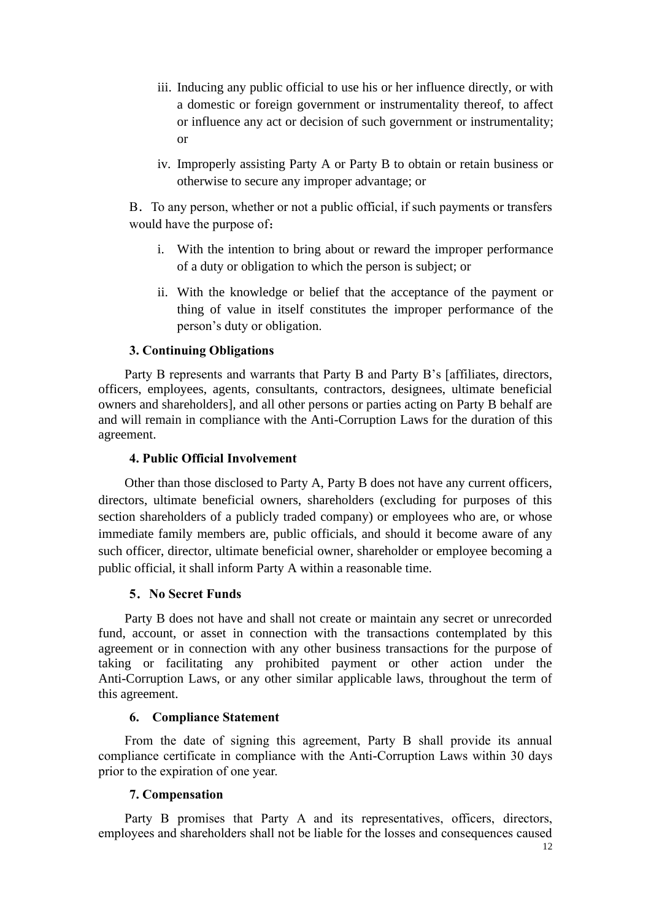- iii. Inducing any public official to use his or her influence directly, or with a domestic or foreign government or instrumentality thereof, to affect or influence any act or decision of such government or instrumentality; or
- iv. Improperly assisting Party A or Party B to obtain or retain business or otherwise to secure any improper advantage; or

B.To any person, whether or not a public official, if such payments or transfers would have the purpose of:

- i. With the intention to bring about or reward the improper performance of a duty or obligation to which the person is subject; or
- ii. With the knowledge or belief that the acceptance of the payment or thing of value in itself constitutes the improper performance of the person's duty or obligation.

## **3. Continuing Obligations**

Party B represents and warrants that Party B and Party B's [affiliates, directors, officers, employees, agents, consultants, contractors, designees, ultimate beneficial owners and shareholders], and all other persons or parties acting on Party B behalf are and will remain in compliance with the Anti-Corruption Laws for the duration of this agreement.

#### **4. Public Official Involvement**

Other than those disclosed to Party A, Party B does not have any current officers, directors, ultimate beneficial owners, shareholders (excluding for purposes of this section shareholders of a publicly traded company) or employees who are, or whose immediate family members are, public officials, and should it become aware of any such officer, director, ultimate beneficial owner, shareholder or employee becoming a public official, it shall inform Party A within a reasonable time.

## **5**.**No Secret Funds**

Party B does not have and shall not create or maintain any secret or unrecorded fund, account, or asset in connection with the transactions contemplated by this agreement or in connection with any other business transactions for the purpose of taking or facilitating any prohibited payment or other action under the Anti-Corruption Laws, or any other similar applicable laws, throughout the term of this agreement.

#### **6. Compliance Statement**

From the date of signing this agreement, Party B shall provide its annual compliance certificate in compliance with the Anti-Corruption Laws within 30 days prior to the expiration of one year.

#### **7. Compensation**

Party B promises that Party A and its representatives, officers, directors, employees and shareholders shall not be liable for the losses and consequences caused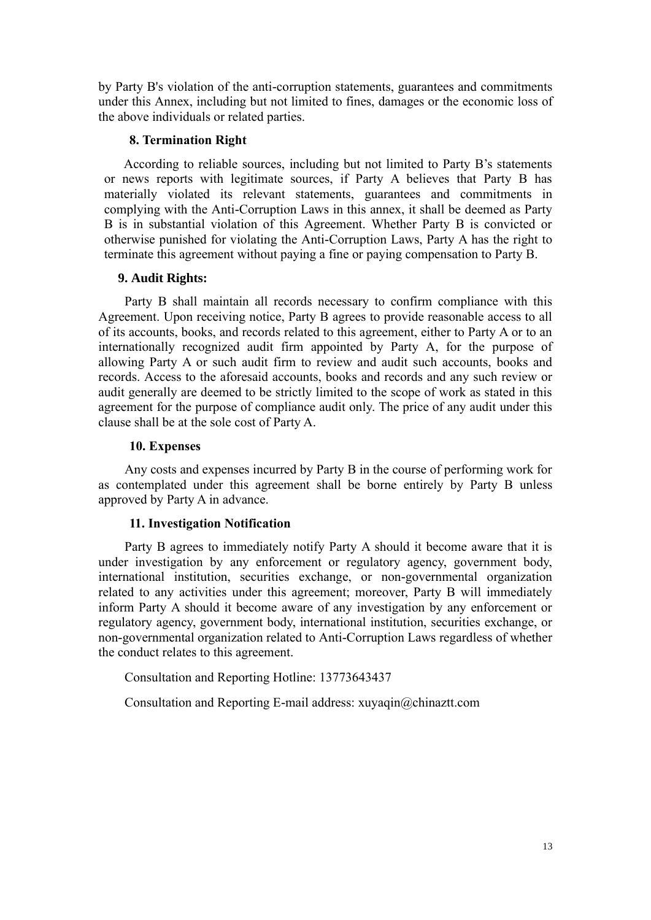by Party B's violation of the anti-corruption statements, guarantees and commitments under this Annex, including but not limited to fines, damages or the economic loss of the above individuals or related parties.

## **8. Termination Right**

According to reliable sources, including but not limited to Party B's statements or news reports with legitimate sources, if Party A believes that Party B has materially violated its relevant statements, guarantees and commitments in complying with the Anti-Corruption Laws in this annex, it shall be deemed as Party B is in substantial violation of this Agreement. Whether Party B is convicted or otherwise punished for violating the Anti-Corruption Laws, Party A has the right to terminate this agreement without paying a fine or paying compensation to Party B.

## **9. Audit Rights:**

Party B shall maintain all records necessary to confirm compliance with this Agreement. Upon receiving notice, Party B agrees to provide reasonable access to all of its accounts, books, and records related to this agreement, either to Party A or to an internationally recognized audit firm appointed by Party A, for the purpose of allowing Party A or such audit firm to review and audit such accounts, books and records. Access to the aforesaid accounts, books and records and any such review or audit generally are deemed to be strictly limited to the scope of work as stated in this agreement for the purpose of compliance audit only. The price of any audit under this clause shall be at the sole cost of Party A.

## **10. Expenses**

Any costs and expenses incurred by Party B in the course of performing work for as contemplated under this agreement shall be borne entirely by Party B unless approved by Party A in advance.

## **11. Investigation Notification**

Party B agrees to immediately notify Party A should it become aware that it is under investigation by any enforcement or regulatory agency, government body, international institution, securities exchange, or non-governmental organization related to any activities under this agreement; moreover, Party B will immediately inform Party A should it become aware of any investigation by any enforcement or regulatory agency, government body, international institution, securities exchange, or non-governmental organization related to Anti-Corruption Laws regardless of whether the conduct relates to this agreement.

Consultation and Reporting Hotline: 13773643437

Consultation and Reporting E-mail address: [xuyaqin@chinaztt.com](mailto:xuyaqin@chinaztt.com)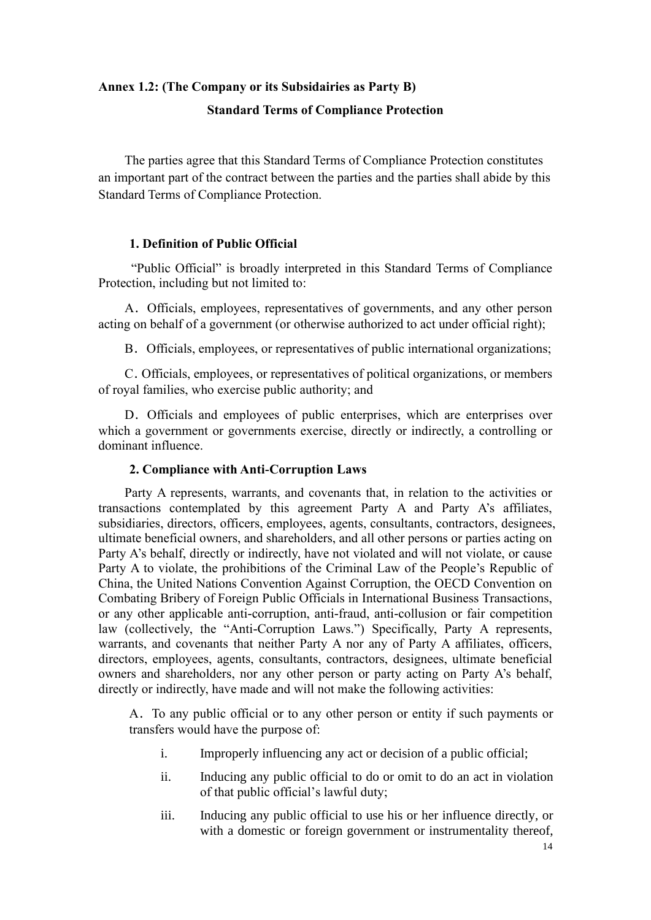# **Annex 1.2: (The Company or its Subsidairies as Party B) Standard Terms of Compliance Protection**

The parties agree that this Standard Terms of Compliance Protection constitutes an important part of the contract between the parties and the parties shall abide by this Standard Terms of Compliance Protection.

## **1. Definition of Public Official**

"Public Official" is broadly interpreted in this Standard Terms of Compliance Protection, including but not limited to:

A.Officials, employees, representatives of governments, and any other person acting on behalf of a government (or otherwise authorized to act under official right);

B. Officials, employees, or representatives of public international organizations;

C.Officials, employees, or representatives of political organizations, or members of royal families, who exercise public authority; and

D. Officials and employees of public enterprises, which are enterprises over which a government or governments exercise, directly or indirectly, a controlling or dominant influence.

#### **2. Compliance with Anti-Corruption Laws**

Party A represents, warrants, and covenants that, in relation to the activities or transactions contemplated by this agreement Party A and Party A's affiliates, subsidiaries, directors, officers, employees, agents, consultants, contractors, designees, ultimate beneficial owners, and shareholders, and all other persons or parties acting on Party A's behalf, directly or indirectly, have not violated and will not violate, or cause Party A to violate, the prohibitions of the Criminal Law of the People's Republic of China, the United Nations Convention Against Corruption, the OECD Convention on Combating Bribery of Foreign Public Officials in International Business Transactions, or any other applicable anti-corruption, anti-fraud, anti-collusion or fair competition law (collectively, the "Anti-Corruption Laws.") Specifically, Party A represents, warrants, and covenants that neither Party A nor any of Party A affiliates, officers, directors, employees, agents, consultants, contractors, designees, ultimate beneficial owners and shareholders, nor any other person or party acting on Party A's behalf, directly or indirectly, have made and will not make the following activities:

A.To any public official or to any other person or entity if such payments or transfers would have the purpose of:

- i. Improperly influencing any act or decision of a public official;
- ii. Inducing any public official to do or omit to do an act in violation of that public official's lawful duty;
- iii. Inducing any public official to use his or her influence directly, or with a domestic or foreign government or instrumentality thereof,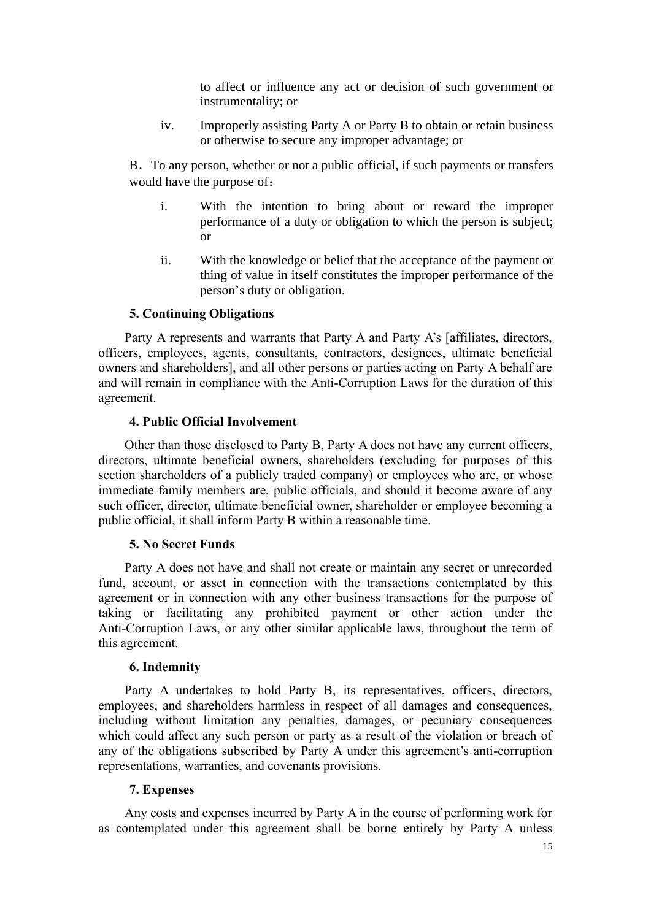to affect or influence any act or decision of such government or instrumentality; or

iv. Improperly assisting Party A or Party B to obtain or retain business or otherwise to secure any improper advantage; or

B.To any person, whether or not a public official, if such payments or transfers would have the purpose of:

- i. With the intention to bring about or reward the improper performance of a duty or obligation to which the person is subject; or
- ii. With the knowledge or belief that the acceptance of the payment or thing of value in itself constitutes the improper performance of the person's duty or obligation.

## **5. Continuing Obligations**

Party A represents and warrants that Party A and Party A's [affiliates, directors, officers, employees, agents, consultants, contractors, designees, ultimate beneficial owners and shareholders], and all other persons or parties acting on Party A behalf are and will remain in compliance with the Anti-Corruption Laws for the duration of this agreement.

#### **4. Public Official Involvement**

Other than those disclosed to Party B, Party A does not have any current officers, directors, ultimate beneficial owners, shareholders (excluding for purposes of this section shareholders of a publicly traded company) or employees who are, or whose immediate family members are, public officials, and should it become aware of any such officer, director, ultimate beneficial owner, shareholder or employee becoming a public official, it shall inform Party B within a reasonable time.

#### **5. No Secret Funds**

Party A does not have and shall not create or maintain any secret or unrecorded fund, account, or asset in connection with the transactions contemplated by this agreement or in connection with any other business transactions for the purpose of taking or facilitating any prohibited payment or other action under the Anti-Corruption Laws, or any other similar applicable laws, throughout the term of this agreement.

#### **6. Indemnity**

Party A undertakes to hold Party B, its representatives, officers, directors, employees, and shareholders harmless in respect of all damages and consequences, including without limitation any penalties, damages, or pecuniary consequences which could affect any such person or party as a result of the violation or breach of any of the obligations subscribed by Party A under this agreement's anti-corruption representations, warranties, and covenants provisions.

## **7. Expenses**

Any costs and expenses incurred by Party A in the course of performing work for as contemplated under this agreement shall be borne entirely by Party A unless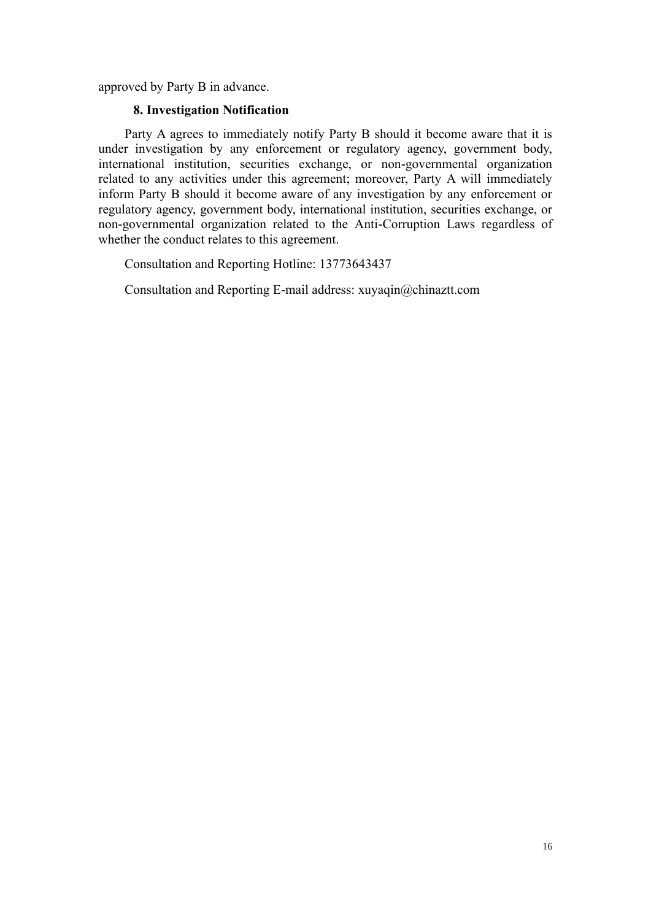approved by Party B in advance.

#### **8. Investigation Notification**

Party A agrees to immediately notify Party B should it become aware that it is under investigation by any enforcement or regulatory agency, government body, international institution, securities exchange, or non-governmental organization related to any activities under this agreement; moreover, Party A will immediately inform Party B should it become aware of any investigation by any enforcement or regulatory agency, government body, international institution, securities exchange, or non-governmental organization related to the Anti-Corruption Laws regardless of whether the conduct relates to this agreement.

Consultation and Reporting Hotline: 13773643437

Consultation and Reporting E-mail address: [xuyaqin@chinaztt.com](mailto:xuyaqin@chinaztt.com)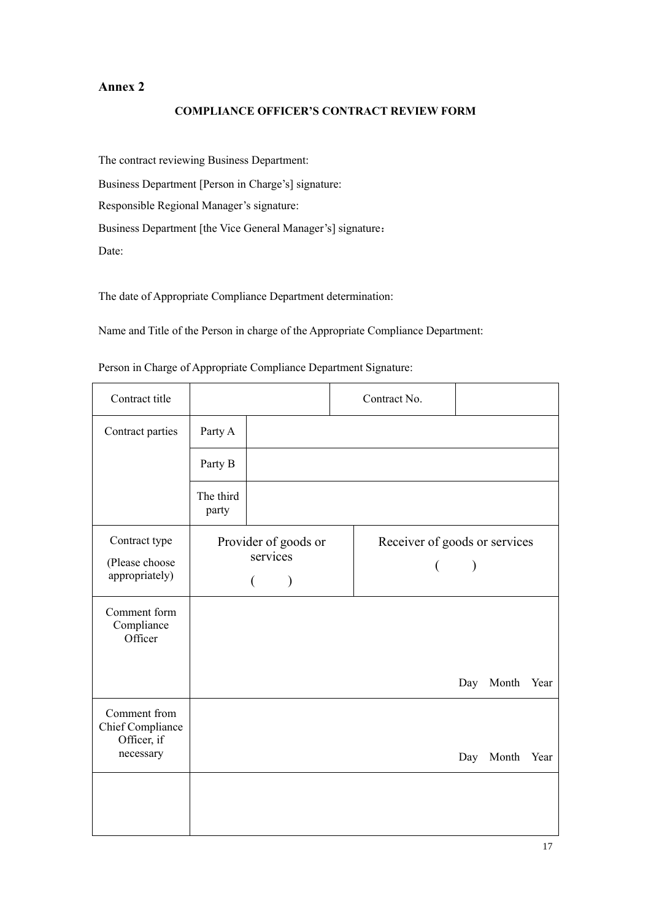## **Annex 2**

#### **COMPLIANCE OFFICER'S CONTRACT REVIEW FORM**

The contract reviewing Business Department: Business Department [Person in Charge's] signature: Responsible Regional Manager's signature: Business Department [the Vice General Manager's] signature: Date:

The date of Appropriate Compliance Department determination:

Name and Title of the Person in charge of the Appropriate Compliance Department:

| Contract title                                    |                    |                                       | Contract No.                                      |               |           |      |
|---------------------------------------------------|--------------------|---------------------------------------|---------------------------------------------------|---------------|-----------|------|
| Contract parties                                  | Party A            |                                       |                                                   |               |           |      |
|                                                   | Party B            |                                       |                                                   |               |           |      |
|                                                   | The third<br>party |                                       |                                                   |               |           |      |
| Contract type<br>(Please choose<br>appropriately) |                    | Provider of goods or<br>services<br>€ | Receiver of goods or services<br>$\overline{(\ }$ | $\mathcal{E}$ |           |      |
| Comment form<br>Compliance<br>Officer             |                    |                                       |                                                   |               |           |      |
|                                                   |                    |                                       |                                                   | Day           | Month     | Year |
| Comment from<br>Chief Compliance<br>Officer, if   |                    |                                       |                                                   |               |           |      |
| necessary                                         |                    |                                       |                                                   |               | Day Month | Year |
|                                                   |                    |                                       |                                                   |               |           |      |

Person in Charge of Appropriate Compliance Department Signature: